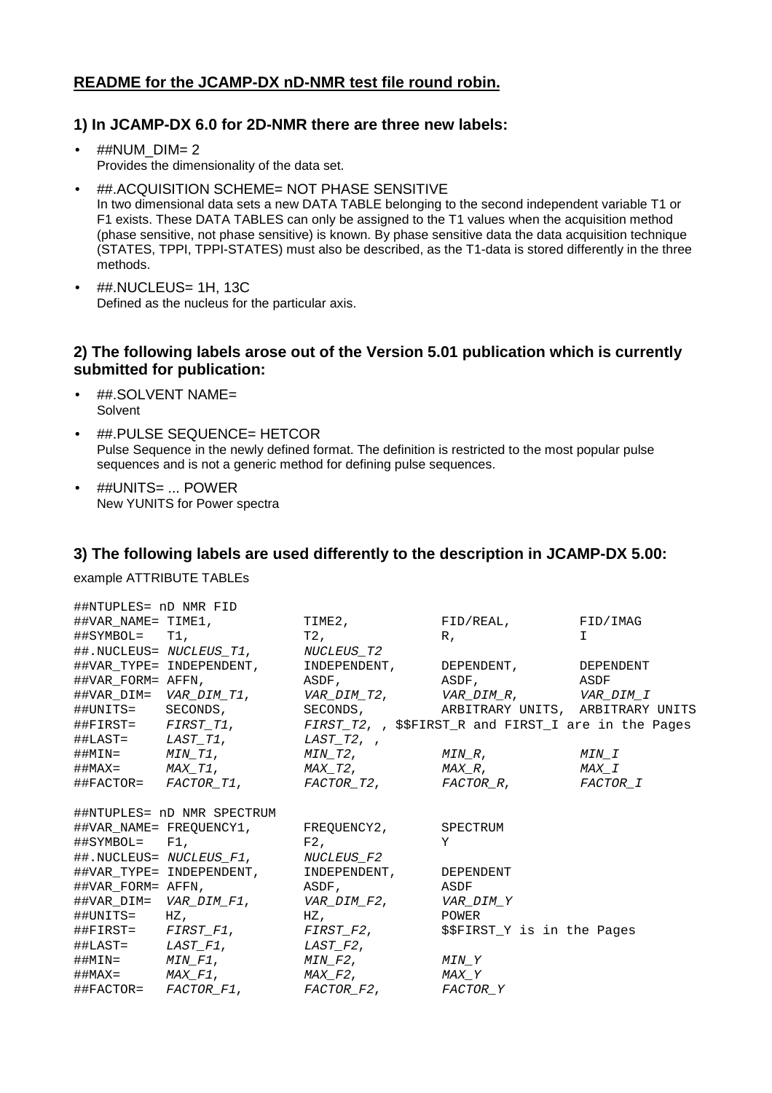# **README for the JCAMP-DX nD-NMR test file round robin.**

## **1) In JCAMP-DX 6.0 for 2D-NMR there are three new labels:**

- ##NUM\_DIM= 2 Provides the dimensionality of the data set.
- ##.ACQUISITION SCHEME= NOT PHASE SENSITIVE In two dimensional data sets a new DATA TABLE belonging to the second independent variable T1 or F1 exists. These DATA TABLES can only be assigned to the T1 values when the acquisition method (phase sensitive, not phase sensitive) is known. By phase sensitive data the data acquisition technique (STATES, TPPI, TPPI-STATES) must also be described, as the T1-data is stored differently in the three methods.
- ##.NUCLEUS= 1H, 13C Defined as the nucleus for the particular axis.

## **2) The following labels arose out of the Version 5.01 publication which is currently submitted for publication:**

- ##.SOLVENT NAME= Solvent
- ##.PULSE SEQUENCE= HETCOR Pulse Sequence in the newly defined format. The definition is restricted to the most popular pulse sequences and is not a generic method for defining pulse sequences.
- ##UNITS= ... POWER New YUNITS for Power spectra

## **3) The following labels are used differently to the description in JCAMP-DX 5.00:**

#### example ATTRIBUTE TABLEs

| ##NTUPLES= nD NMR FID                |                                                                                       |                   |                                                                         |       |
|--------------------------------------|---------------------------------------------------------------------------------------|-------------------|-------------------------------------------------------------------------|-------|
|                                      | ##VAR NAME= TIME1,                                                                    | TIME2,            | FID/REAL, FID/IMAG                                                      |       |
| $\texttt{\#HSYMBOL} = \texttt{T1}$ , |                                                                                       | T2,               | $R$ ,                                                                   | T.    |
|                                      | ##.NUCLEUS= NUCLEUS_T1,                                                               | <i>NUCLEUS_T2</i> |                                                                         |       |
|                                      | ##VAR_TYPE= INDEPENDENT,                                                              |                   | INDEPENDENT, DEPENDENT, DEPENDENT                                       |       |
| ##VAR FORM= AFFN,                    |                                                                                       | ASDF,             | ASDF, ASDF                                                              |       |
|                                      |                                                                                       |                   |                                                                         |       |
|                                      | ##UNITS= SECONDS,                                                                     |                   | SECONDS, ARBITRARY UNITS, ARBITRARY UNITS                               |       |
|                                      |                                                                                       |                   | ##FIRST= FIRST_T1, FIRST_T2, , \$\$FIRST_R and FIRST_I are in the Pages |       |
|                                      | $\#$ #LAST= LAST T1, LAST T2, ,                                                       |                   |                                                                         |       |
|                                      | $\# \# \texttt{MIN} = \texttt{MIN\_T1} \text{,} \texttt{MIN\_T2} \text{,}$            |                   | $MIN_R$ , the matrix $MIN_L$                                            |       |
|                                      | $\#$ #MAX= $MAX_T1$ , $MAX_T2$ ,                                                      |                   | $MAX\_R$ ,                                                              | MAX I |
|                                      |                                                                                       |                   | ##FACTOR= FACTOR_T1, FACTOR_T2, FACTOR_R, FACTOR_I                      |       |
| ##NTUPLES= nD NMR SPECTRUM           |                                                                                       |                   |                                                                         |       |
|                                      | ##VAR_NAME=FREQUENCY1, FREQUENCY2,                                                    |                   | SPECTRUM                                                                |       |
| $\texttt{\#HSYMBOL} = \texttt{F1}.$  |                                                                                       | F2.               | Y                                                                       |       |
|                                      | ##.NUCLEUS= NUCLEUS F1, NUCLEUS F2                                                    |                   |                                                                         |       |
|                                      | ##VAR TYPE= INDEPENDENT, INDEPENDENT,                                                 |                   | DEPENDENT                                                               |       |
| ##VAR FORM= AFFN,                    |                                                                                       | ASDF,             | ASDF                                                                    |       |
|                                      | ##VAR_DIM= VAR_ <i>DIM_F1</i> , VAR_ <i>DIM_F2</i> ,                                  |                   | VAR DIM Y                                                               |       |
| $\#$ #UNITS= HZ,                     |                                                                                       | HZ,               | POWER                                                                   |       |
|                                      | ##FIRST= FIRST_F1, FIRST_F2,                                                          |                   | \$\$FIRST Y is in the Pages                                             |       |
|                                      | $\# \texttt{\#LAST=}\qquad \textit{LAST\_F1}\, , \qquad \qquad \textit{LAST\_F2}\, ,$ |                   |                                                                         |       |
|                                      | ##MIN= $MIN\_F1$ , $MIN\_F2$ ,                                                        |                   | MIN Y                                                                   |       |
|                                      | $\#$ #MAX= $MAX_F1$ , $MAX_F2$ ,                                                      |                   | MAX Y                                                                   |       |
|                                      | ##FACTOR= <i>FACTOR F1</i> , <i>FACTOR F2</i> ,                                       |                   | FACTOR Y                                                                |       |
|                                      |                                                                                       |                   |                                                                         |       |